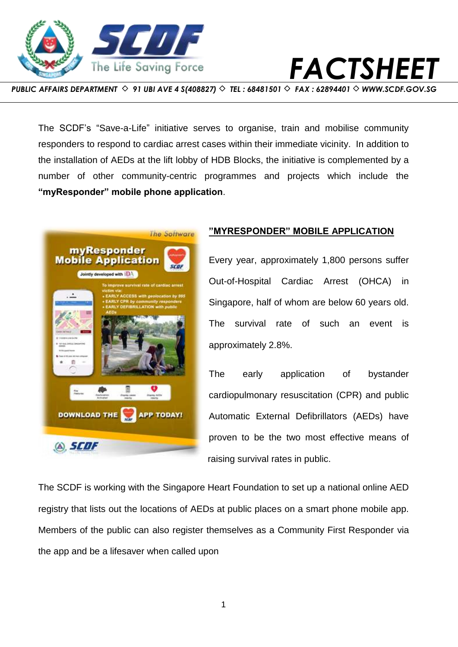



*PUBLIC AFFAIRS DEPARTMENT ◇ 91 UBI AVE 4 S(408827) ◇ TEL : 68481501 ◇ FAX : 62894401 ◇ [WWW.SCDF.GOV.SG](http://www.scdf.gov.sg/)* 

The SCDF's "Save-a-Life" initiative serves to organise, train and mobilise community responders to respond to cardiac arrest cases within their immediate vicinity. In addition to the installation of AEDs at the lift lobby of HDB Blocks, the initiative is complemented by a number of other community-centric programmes and projects which include the **"myResponder" mobile phone application**.



## **"MYRESPONDER" MOBILE APPLICATION**

Every year, approximately 1,800 persons suffer Out-of-Hospital Cardiac Arrest (OHCA) in Singapore, half of whom are below 60 years old. The survival rate of such an event is approximately 2.8%.

The early application of bystander cardiopulmonary resuscitation (CPR) and public Automatic External Defibrillators (AEDs) have proven to be the two most effective means of raising survival rates in public.

The SCDF is working with the Singapore Heart Foundation to set up a national online AED registry that lists out the locations of AEDs at public places on a smart phone mobile app. Members of the public can also register themselves as a Community First Responder via the app and be a lifesaver when called upon